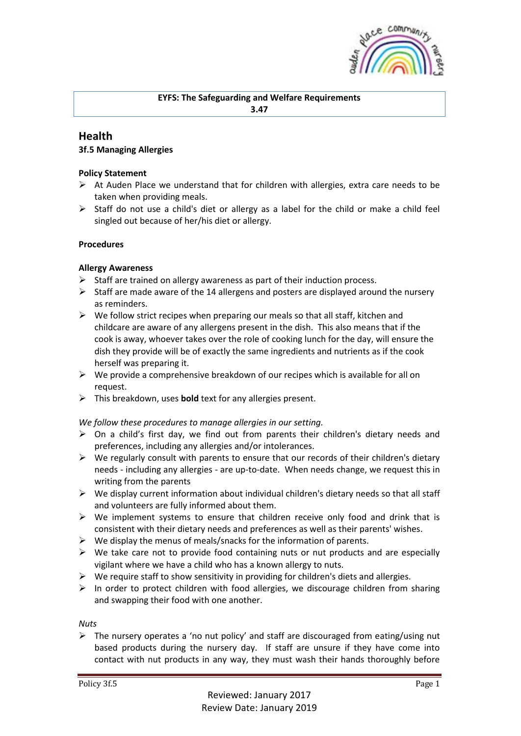

## **EYFS: The Safeguarding and Welfare Requirements 3.47**

# **Health**

## **3f.5 Managing Allergies**

### **Policy Statement**

- $\triangleright$  At Auden Place we understand that for children with allergies, extra care needs to be taken when providing meals.
- $\triangleright$  Staff do not use a child's diet or allergy as a label for the child or make a child feel singled out because of her/his diet or allergy.

### **Procedures**

### **Allergy Awareness**

- $\triangleright$  Staff are trained on allergy awareness as part of their induction process.
- $\triangleright$  Staff are made aware of the 14 allergens and posters are displayed around the nursery as reminders.
- $\triangleright$  We follow strict recipes when preparing our meals so that all staff, kitchen and childcare are aware of any allergens present in the dish. This also means that if the cook is away, whoever takes over the role of cooking lunch for the day, will ensure the dish they provide will be of exactly the same ingredients and nutrients as if the cook herself was preparing it.
- $\triangleright$  We provide a comprehensive breakdown of our recipes which is available for all on request.
- ➢ This breakdown, uses **bold** text for any allergies present.

#### *We follow these procedures to manage allergies in our setting.*

- $\triangleright$  On a child's first day, we find out from parents their children's dietary needs and preferences, including any allergies and/or intolerances.
- $\triangleright$  We regularly consult with parents to ensure that our records of their children's dietary needs - including any allergies - are up-to-date. When needs change, we request this in writing from the parents
- $\triangleright$  We display current information about individual children's dietary needs so that all staff and volunteers are fully informed about them.
- $\triangleright$  We implement systems to ensure that children receive only food and drink that is consistent with their dietary needs and preferences as well as their parents' wishes.
- $\triangleright$  We display the menus of meals/snacks for the information of parents.
- $\triangleright$  We take care not to provide food containing nuts or nut products and are especially vigilant where we have a child who has a known allergy to nuts.
- $\triangleright$  We require staff to show sensitivity in providing for children's diets and allergies.
- $\triangleright$  In order to protect children with food allergies, we discourage children from sharing and swapping their food with one another.

*Nuts*

 $\triangleright$  The nursery operates a 'no nut policy' and staff are discouraged from eating/using nut based products during the nursery day. If staff are unsure if they have come into contact with nut products in any way, they must wash their hands thoroughly before